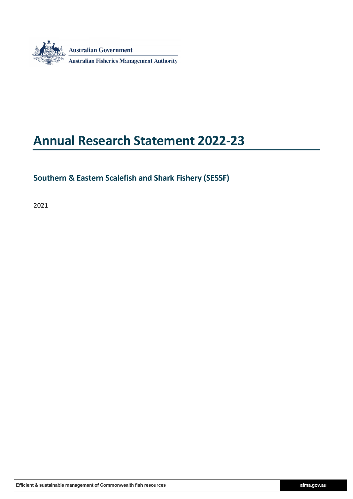

# **Annual Research Statement 2022-23**

## **Southern & Eastern Scalefish and Shark Fishery (SESSF)**

2021

Efficient & sustainable management of Commonwealth fish resources **afma.gov.au** afma.gov.au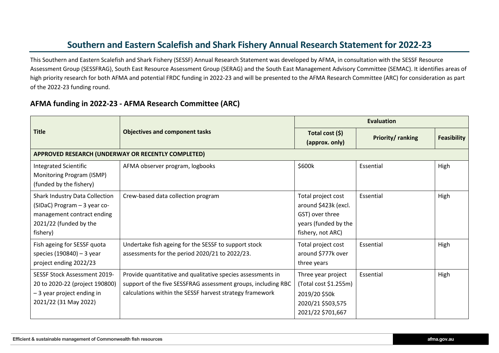# **Southern and Eastern Scalefish and Shark Fishery Annual Research Statement for 2022-23**

This Southern and Eastern Scalefish and Shark Fishery (SESSF) Annual Research Statement was developed by AFMA, in consultation with the SESSF Resource Assessment Group (SESSFRAG), South East Resource Assessment Group (SERAG) and the South East Management Advisory Committee (SEMAC). It identifies areas of high priority research for both AFMA and potential FRDC funding in 2022-23 and will be presented to the AFMA Research Committee (ARC) for consideration as part of the 2022-23 funding round.

#### **AFMA funding in 2022-23 - AFMA Research Committee (ARC)**

|                                                                                                                                           |                                                                                                                                                                                          | <b>Evaluation</b>                                                                                          |                         |                    |  |
|-------------------------------------------------------------------------------------------------------------------------------------------|------------------------------------------------------------------------------------------------------------------------------------------------------------------------------------------|------------------------------------------------------------------------------------------------------------|-------------------------|--------------------|--|
| <b>Title</b>                                                                                                                              | <b>Objectives and component tasks</b>                                                                                                                                                    | Total cost (\$)<br>(approx. only)                                                                          | <b>Priority/ranking</b> | <b>Feasibility</b> |  |
|                                                                                                                                           | APPROVED RESEARCH (UNDERWAY OR RECENTLY COMPLETED)                                                                                                                                       |                                                                                                            |                         |                    |  |
| <b>Integrated Scientific</b><br>Monitoring Program (ISMP)<br>(funded by the fishery)                                                      | AFMA observer program, logbooks                                                                                                                                                          | \$600k                                                                                                     | Essential               | High               |  |
| <b>Shark Industry Data Collection</b><br>(SIDaC) Program - 3 year co-<br>management contract ending<br>2021/22 (funded by the<br>fishery) | Crew-based data collection program                                                                                                                                                       | Total project cost<br>around \$423k (excl.<br>GST) over three<br>years (funded by the<br>fishery, not ARC) | Essential               | High               |  |
| Fish ageing for SESSF quota<br>species (190840) - 3 year<br>project ending 2022/23                                                        | Undertake fish ageing for the SESSF to support stock<br>assessments for the period 2020/21 to 2022/23.                                                                                   | Total project cost<br>around \$777k over<br>three years                                                    | Essential               | High               |  |
| SESSF Stock Assessment 2019-<br>20 to 2020-22 (project 190800)<br>-3 year project ending in<br>2021/22 (31 May 2022)                      | Provide quantitative and qualitative species assessments in<br>support of the five SESSFRAG assessment groups, including RBC<br>calculations within the SESSF harvest strategy framework | Three year project<br>(Total cost \$1.255m)<br>2019/20 \$50k<br>2020/21 \$503,575<br>2021/22 \$701,667     | Essential               | High               |  |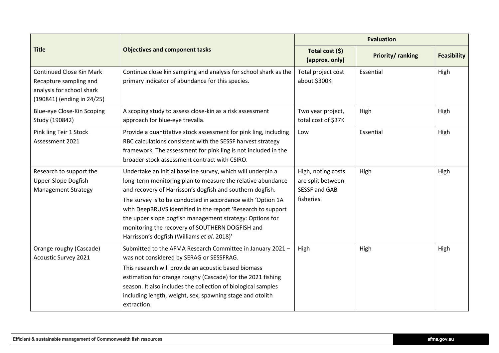|                                                                                                               |                                                                                                                                                                                                                                                                                                                                                                                                                                                                                      | <b>Evaluation</b>                                                             |           |                    |  |
|---------------------------------------------------------------------------------------------------------------|--------------------------------------------------------------------------------------------------------------------------------------------------------------------------------------------------------------------------------------------------------------------------------------------------------------------------------------------------------------------------------------------------------------------------------------------------------------------------------------|-------------------------------------------------------------------------------|-----------|--------------------|--|
| <b>Title</b>                                                                                                  | <b>Objectives and component tasks</b>                                                                                                                                                                                                                                                                                                                                                                                                                                                | Total cost (\$)<br>Priority/ranking<br>(approx. only)                         |           | <b>Feasibility</b> |  |
| Continued Close Kin Mark<br>Recapture sampling and<br>analysis for school shark<br>(190841) (ending in 24/25) | Continue close kin sampling and analysis for school shark as the<br>primary indicator of abundance for this species.                                                                                                                                                                                                                                                                                                                                                                 | Total project cost<br>about \$300K                                            | Essential | High               |  |
| Blue-eye Close-Kin Scoping<br>Study (190842)                                                                  | A scoping study to assess close-kin as a risk assessment<br>approach for blue-eye trevalla.                                                                                                                                                                                                                                                                                                                                                                                          | Two year project,<br>total cost of \$37K                                      | High      | High               |  |
| Pink ling Teir 1 Stock<br>Assessment 2021                                                                     | Provide a quantitative stock assessment for pink ling, including<br>RBC calculations consistent with the SESSF harvest strategy<br>framework. The assessment for pink ling is not included in the<br>broader stock assessment contract with CSIRO.                                                                                                                                                                                                                                   | Low                                                                           | Essential | High               |  |
| Research to support the<br><b>Upper-Slope Dogfish</b><br><b>Management Strategy</b>                           | Undertake an initial baseline survey, which will underpin a<br>long-term monitoring plan to measure the relative abundance<br>and recovery of Harrisson's dogfish and southern dogfish.<br>The survey is to be conducted in accordance with 'Option 1A<br>with DeepBRUVS identified in the report 'Research to support<br>the upper slope dogfish management strategy: Options for<br>monitoring the recovery of SOUTHERN DOGFISH and<br>Harrisson's dogfish (Williams et al. 2018)' | High, noting costs<br>are split between<br><b>SESSF and GAB</b><br>fisheries. | High      | High               |  |
| Orange roughy (Cascade)<br><b>Acoustic Survey 2021</b>                                                        | Submitted to the AFMA Research Committee in January 2021 -<br>was not considered by SERAG or SESSFRAG.<br>This research will provide an acoustic based biomass<br>estimation for orange roughy (Cascade) for the 2021 fishing<br>season. It also includes the collection of biological samples<br>including length, weight, sex, spawning stage and otolith<br>extraction.                                                                                                           | High                                                                          | High      | High               |  |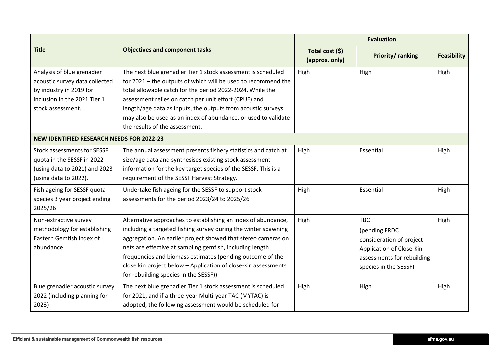|                                                  |                                                                |                                   | <b>Evaluation</b>          |                    |
|--------------------------------------------------|----------------------------------------------------------------|-----------------------------------|----------------------------|--------------------|
| <b>Title</b>                                     | <b>Objectives and component tasks</b>                          | Total cost (\$)<br>(approx. only) | Priority/ranking           | <b>Feasibility</b> |
| Analysis of blue grenadier                       | The next blue grenadier Tier 1 stock assessment is scheduled   | High                              | High                       | High               |
| acoustic survey data collected                   | for 2021 - the outputs of which will be used to recommend the  |                                   |                            |                    |
| by industry in 2019 for                          | total allowable catch for the period 2022-2024. While the      |                                   |                            |                    |
| inclusion in the 2021 Tier 1                     | assessment relies on catch per unit effort (CPUE) and          |                                   |                            |                    |
| stock assessment.                                | length/age data as inputs, the outputs from acoustic surveys   |                                   |                            |                    |
|                                                  | may also be used as an index of abundance, or used to validate |                                   |                            |                    |
|                                                  | the results of the assessment.                                 |                                   |                            |                    |
| <b>NEW IDENTIFIED RESEARCH NEEDS FOR 2022-23</b> |                                                                |                                   |                            |                    |
| <b>Stock assessments for SESSF</b>               | The annual assessment presents fishery statistics and catch at | High                              | Essential                  | High               |
| quota in the SESSF in 2022                       | size/age data and synthesises existing stock assessment        |                                   |                            |                    |
| (using data to 2021) and 2023                    | information for the key target species of the SESSF. This is a |                                   |                            |                    |
| (using data to 2022).                            | requirement of the SESSF Harvest Strategy.                     |                                   |                            |                    |
| Fish ageing for SESSF quota                      | Undertake fish ageing for the SESSF to support stock           | High                              | Essential                  | High               |
| species 3 year project ending                    | assessments for the period 2023/24 to 2025/26.                 |                                   |                            |                    |
| 2025/26                                          |                                                                |                                   |                            |                    |
| Non-extractive survey                            | Alternative approaches to establishing an index of abundance,  | High                              | <b>TBC</b>                 | High               |
| methodology for establishing                     | including a targeted fishing survey during the winter spawning |                                   | (pending FRDC              |                    |
| Eastern Gemfish index of                         | aggregation. An earlier project showed that stereo cameras on  |                                   | consideration of project - |                    |
| abundance                                        | nets are effective at sampling gemfish, including length       |                                   | Application of Close-Kin   |                    |
|                                                  | frequencies and biomass estimates (pending outcome of the      |                                   | assessments for rebuilding |                    |
|                                                  | close kin project below - Application of close-kin assessments |                                   | species in the SESSF)      |                    |
|                                                  | for rebuilding species in the SESSF))                          |                                   |                            |                    |
| Blue grenadier acoustic survey                   | The next blue grenadier Tier 1 stock assessment is scheduled   | High                              | High                       | High               |
| 2022 (including planning for                     | for 2021, and if a three-year Multi-year TAC (MYTAC) is        |                                   |                            |                    |
| 2023)                                            | adopted, the following assessment would be scheduled for       |                                   |                            |                    |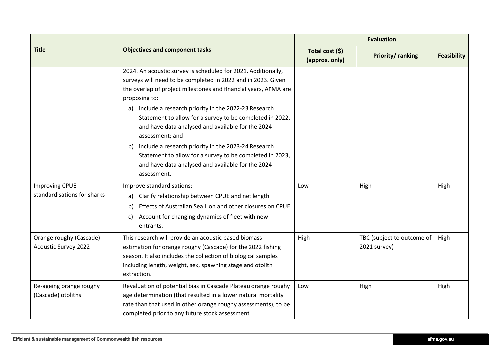|                                                        |                                                                                                                                                                                                                                                                                                                                                                                                                                                                                                                                                                                                              | <b>Evaluation</b>                 |                                            |                    |  |
|--------------------------------------------------------|--------------------------------------------------------------------------------------------------------------------------------------------------------------------------------------------------------------------------------------------------------------------------------------------------------------------------------------------------------------------------------------------------------------------------------------------------------------------------------------------------------------------------------------------------------------------------------------------------------------|-----------------------------------|--------------------------------------------|--------------------|--|
| <b>Title</b>                                           | <b>Objectives and component tasks</b>                                                                                                                                                                                                                                                                                                                                                                                                                                                                                                                                                                        | Total cost (\$)<br>(approx. only) | Priority/ranking                           | <b>Feasibility</b> |  |
|                                                        | 2024. An acoustic survey is scheduled for 2021. Additionally,<br>surveys will need to be completed in 2022 and in 2023. Given<br>the overlap of project milestones and financial years, AFMA are<br>proposing to:<br>a) include a research priority in the 2022-23 Research<br>Statement to allow for a survey to be completed in 2022,<br>and have data analysed and available for the 2024<br>assessment; and<br>include a research priority in the 2023-24 Research<br>b)<br>Statement to allow for a survey to be completed in 2023,<br>and have data analysed and available for the 2024<br>assessment. |                                   |                                            |                    |  |
| <b>Improving CPUE</b><br>standardisations for sharks   | Improve standardisations:<br>Clarify relationship between CPUE and net length<br>a)<br>Effects of Australian Sea Lion and other closures on CPUE<br>b)<br>Account for changing dynamics of fleet with new<br>C)<br>entrants.                                                                                                                                                                                                                                                                                                                                                                                 | Low                               | High                                       | High               |  |
| Orange roughy (Cascade)<br><b>Acoustic Survey 2022</b> | This research will provide an acoustic based biomass<br>estimation for orange roughy (Cascade) for the 2022 fishing<br>season. It also includes the collection of biological samples<br>including length, weight, sex, spawning stage and otolith<br>extraction.                                                                                                                                                                                                                                                                                                                                             | High                              | TBC (subject to outcome of<br>2021 survey) | High               |  |
| Re-ageing orange roughy<br>(Cascade) otoliths          | Revaluation of potential bias in Cascade Plateau orange roughy<br>age determination (that resulted in a lower natural mortality<br>rate than that used in other orange roughy assessments), to be<br>completed prior to any future stock assessment.                                                                                                                                                                                                                                                                                                                                                         | Low                               | High                                       | High               |  |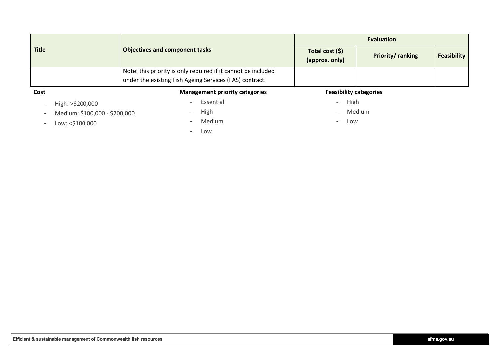| <b>Title</b>     | <b>Objectives and component tasks</b>                         | <b>Evaluation</b>                 |                  |                    |  |  |
|------------------|---------------------------------------------------------------|-----------------------------------|------------------|--------------------|--|--|
|                  |                                                               | Total cost (\$)<br>(approx. only) | Priority/ranking | <b>Feasibility</b> |  |  |
|                  | Note: this priority is only required if it cannot be included |                                   |                  |                    |  |  |
|                  | under the existing Fish Ageing Services (FAS) contract.       |                                   |                  |                    |  |  |
| Cost             | <b>Management priority categories</b>                         | <b>Feasibility categories</b>     |                  |                    |  |  |
| High: >\$200,000 | Essential<br>$\sim$                                           | High                              |                  |                    |  |  |

- 
- Medium: \$100,000 \$200,000 High High Medium Medium Medium Medium Medium Medium Low
- Low: <\$100,000 Medium Medium Medium -
- 

- Low

- 
- 
-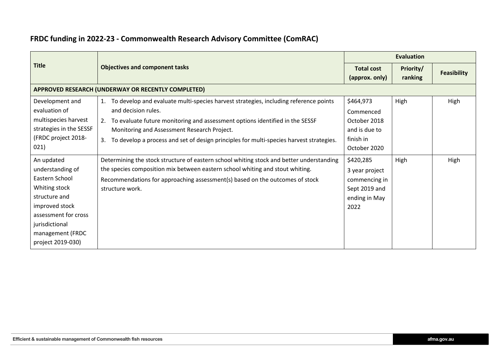|                                                                                                                                                                                         |                                                                                                                                                                                                                                                                                                                                                      | <b>Evaluation</b>                                                                      |                      |                    |  |
|-----------------------------------------------------------------------------------------------------------------------------------------------------------------------------------------|------------------------------------------------------------------------------------------------------------------------------------------------------------------------------------------------------------------------------------------------------------------------------------------------------------------------------------------------------|----------------------------------------------------------------------------------------|----------------------|--------------------|--|
| <b>Title</b>                                                                                                                                                                            | <b>Objectives and component tasks</b>                                                                                                                                                                                                                                                                                                                | <b>Total cost</b><br>(approx. only)                                                    | Priority/<br>ranking | <b>Feasibility</b> |  |
|                                                                                                                                                                                         | APPROVED RESEARCH (UNDERWAY OR RECENTLY COMPLETED)                                                                                                                                                                                                                                                                                                   |                                                                                        |                      |                    |  |
| Development and<br>evaluation of<br>multispecies harvest<br>strategies in the SESSF<br>(FRDC project 2018-<br>021)                                                                      | To develop and evaluate multi-species harvest strategies, including reference points<br>1.<br>and decision rules.<br>2. To evaluate future monitoring and assessment options identified in the SESSF<br>Monitoring and Assessment Research Project.<br>To develop a process and set of design principles for multi-species harvest strategies.<br>3. | \$464,973<br>Commenced<br>October 2018<br>and is due to<br>finish in<br>October 2020   | High                 | High               |  |
| An updated<br>understanding of<br>Eastern School<br>Whiting stock<br>structure and<br>improved stock<br>assessment for cross<br>jurisdictional<br>management (FRDC<br>project 2019-030) | Determining the stock structure of eastern school whiting stock and better understanding<br>the species composition mix between eastern school whiting and stout whiting.<br>Recommendations for approaching assessment(s) based on the outcomes of stock<br>structure work.                                                                         | \$420,285<br>3 year project<br>commencing in<br>Sept 2019 and<br>ending in May<br>2022 | High                 | High               |  |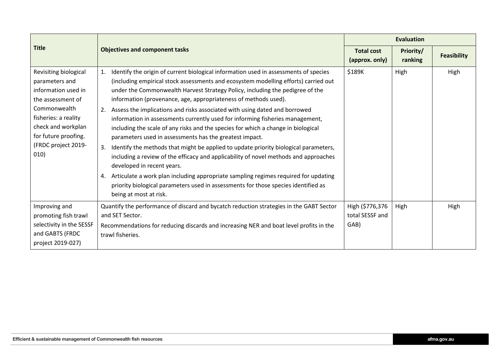|                                                                                                                                                                                                          |                                                                                                                                                                                                                                                                                                                                                                                                                                                                                                                                                                                                                                                                                                                                                                                                                                                                                                                                                                                                                                                                                                         |                                            | <b>Evaluation</b>    |                    |  |
|----------------------------------------------------------------------------------------------------------------------------------------------------------------------------------------------------------|---------------------------------------------------------------------------------------------------------------------------------------------------------------------------------------------------------------------------------------------------------------------------------------------------------------------------------------------------------------------------------------------------------------------------------------------------------------------------------------------------------------------------------------------------------------------------------------------------------------------------------------------------------------------------------------------------------------------------------------------------------------------------------------------------------------------------------------------------------------------------------------------------------------------------------------------------------------------------------------------------------------------------------------------------------------------------------------------------------|--------------------------------------------|----------------------|--------------------|--|
| <b>Title</b>                                                                                                                                                                                             | <b>Objectives and component tasks</b>                                                                                                                                                                                                                                                                                                                                                                                                                                                                                                                                                                                                                                                                                                                                                                                                                                                                                                                                                                                                                                                                   | <b>Total cost</b><br>(approx. only)        | Priority/<br>ranking | <b>Feasibility</b> |  |
| Revisiting biological<br>parameters and<br>information used in<br>the assessment of<br>Commonwealth<br>fisheries: a reality<br>check and workplan<br>for future proofing.<br>(FRDC project 2019-<br>010) | Identify the origin of current biological information used in assessments of species<br>$\mathbf{1}$ .<br>(including empirical stock assessments and ecosystem modelling efforts) carried out<br>under the Commonwealth Harvest Strategy Policy, including the pedigree of the<br>information (provenance, age, appropriateness of methods used).<br>Assess the implications and risks associated with using dated and borrowed<br>2.<br>information in assessments currently used for informing fisheries management,<br>including the scale of any risks and the species for which a change in biological<br>parameters used in assessments has the greatest impact.<br>Identify the methods that might be applied to update priority biological parameters,<br>3.<br>including a review of the efficacy and applicability of novel methods and approaches<br>developed in recent years.<br>Articulate a work plan including appropriate sampling regimes required for updating<br>4.<br>priority biological parameters used in assessments for those species identified as<br>being at most at risk. | \$189K                                     | High                 | High               |  |
| Improving and<br>promoting fish trawl<br>selectivity in the SESSF<br>and GABTS (FRDC<br>project 2019-027)                                                                                                | Quantify the performance of discard and bycatch reduction strategies in the GABT Sector<br>and SET Sector.<br>Recommendations for reducing discards and increasing NER and boat level profits in the<br>trawl fisheries.                                                                                                                                                                                                                                                                                                                                                                                                                                                                                                                                                                                                                                                                                                                                                                                                                                                                                | High (\$776,376<br>total SESSF and<br>GAB) | High                 | High               |  |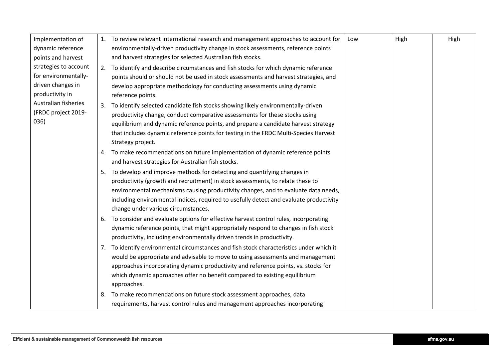| Implementation of     |    | 1. To review relevant international research and management approaches to account for    | Low | High | High |
|-----------------------|----|------------------------------------------------------------------------------------------|-----|------|------|
| dynamic reference     |    | environmentally-driven productivity change in stock assessments, reference points        |     |      |      |
| points and harvest    |    | and harvest strategies for selected Australian fish stocks.                              |     |      |      |
| strategies to account |    | 2. To identify and describe circumstances and fish stocks for which dynamic reference    |     |      |      |
| for environmentally-  |    | points should or should not be used in stock assessments and harvest strategies, and     |     |      |      |
| driven changes in     |    | develop appropriate methodology for conducting assessments using dynamic                 |     |      |      |
| productivity in       |    | reference points.                                                                        |     |      |      |
| Australian fisheries  |    | 3. To identify selected candidate fish stocks showing likely environmentally-driven      |     |      |      |
| (FRDC project 2019-   |    | productivity change, conduct comparative assessments for these stocks using              |     |      |      |
| 036)                  |    | equilibrium and dynamic reference points, and prepare a candidate harvest strategy       |     |      |      |
|                       |    | that includes dynamic reference points for testing in the FRDC Multi-Species Harvest     |     |      |      |
|                       |    | Strategy project.                                                                        |     |      |      |
|                       |    | 4. To make recommendations on future implementation of dynamic reference points          |     |      |      |
|                       |    | and harvest strategies for Australian fish stocks.                                       |     |      |      |
|                       |    | 5. To develop and improve methods for detecting and quantifying changes in               |     |      |      |
|                       |    | productivity (growth and recruitment) in stock assessments, to relate these to           |     |      |      |
|                       |    | environmental mechanisms causing productivity changes, and to evaluate data needs,       |     |      |      |
|                       |    | including environmental indices, required to usefully detect and evaluate productivity   |     |      |      |
|                       |    | change under various circumstances.                                                      |     |      |      |
|                       |    | 6. To consider and evaluate options for effective harvest control rules, incorporating   |     |      |      |
|                       |    | dynamic reference points, that might appropriately respond to changes in fish stock      |     |      |      |
|                       |    | productivity, including environmentally driven trends in productivity.                   |     |      |      |
|                       |    | 7. To identify environmental circumstances and fish stock characteristics under which it |     |      |      |
|                       |    | would be appropriate and advisable to move to using assessments and management           |     |      |      |
|                       |    | approaches incorporating dynamic productivity and reference points, vs. stocks for       |     |      |      |
|                       |    | which dynamic approaches offer no benefit compared to existing equilibrium               |     |      |      |
|                       |    | approaches.                                                                              |     |      |      |
|                       | 8. | To make recommendations on future stock assessment approaches, data                      |     |      |      |
|                       |    | requirements, harvest control rules and management approaches incorporating              |     |      |      |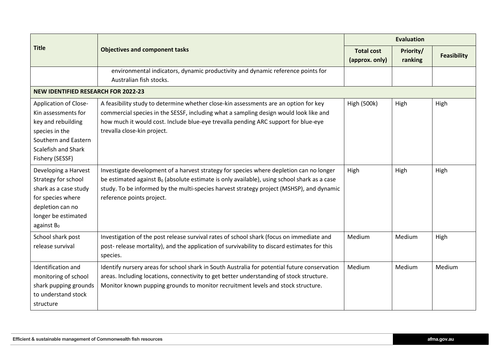|                                                                                                                                                        |                                                                                                                                                                                                                                                                                                                    |                                     | <b>Evaluation</b>    |                    |  |  |
|--------------------------------------------------------------------------------------------------------------------------------------------------------|--------------------------------------------------------------------------------------------------------------------------------------------------------------------------------------------------------------------------------------------------------------------------------------------------------------------|-------------------------------------|----------------------|--------------------|--|--|
| <b>Title</b>                                                                                                                                           | <b>Objectives and component tasks</b>                                                                                                                                                                                                                                                                              | <b>Total cost</b><br>(approx. only) | Priority/<br>ranking | <b>Feasibility</b> |  |  |
|                                                                                                                                                        | environmental indicators, dynamic productivity and dynamic reference points for<br>Australian fish stocks.                                                                                                                                                                                                         |                                     |                      |                    |  |  |
| <b>NEW IDENTIFIED RESEARCH FOR 2022-23</b>                                                                                                             |                                                                                                                                                                                                                                                                                                                    |                                     |                      |                    |  |  |
| Application of Close-<br>Kin assessments for<br>key and rebuilding<br>species in the<br>Southern and Eastern<br>Scalefish and Shark<br>Fishery (SESSF) | A feasibility study to determine whether close-kin assessments are an option for key<br>commercial species in the SESSF, including what a sampling design would look like and<br>how much it would cost. Include blue-eye trevalla pending ARC support for blue-eye<br>trevalla close-kin project.                 | <b>High (500k)</b>                  | High                 | High               |  |  |
| Developing a Harvest<br>Strategy for school<br>shark as a case study<br>for species where<br>depletion can no<br>longer be estimated<br>against $B_0$  | Investigate development of a harvest strategy for species where depletion can no longer<br>be estimated against $B_0$ (absolute estimate is only available), using school shark as a case<br>study. To be informed by the multi-species harvest strategy project (MSHSP), and dynamic<br>reference points project. | High                                | High                 | High               |  |  |
| School shark post<br>release survival                                                                                                                  | Investigation of the post release survival rates of school shark (focus on immediate and<br>post- release mortality), and the application of survivability to discard estimates for this<br>species.                                                                                                               | Medium                              | Medium               | High               |  |  |
| Identification and<br>monitoring of school<br>shark pupping grounds<br>to understand stock<br>structure                                                | Identify nursery areas for school shark in South Australia for potential future conservation<br>areas. Including locations, connectivity to get better understanding of stock structure.<br>Monitor known pupping grounds to monitor recruitment levels and stock structure.                                       | Medium                              | Medium               | Medium             |  |  |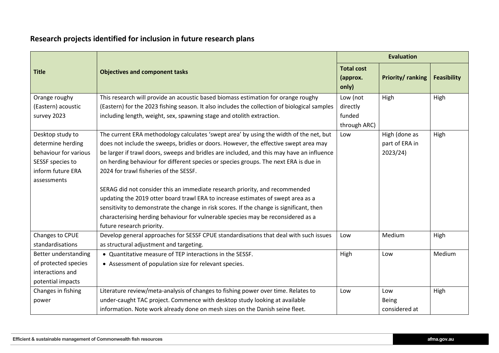## **Research projects identified for inclusion in future research plans**

|                       |                                                                                              |                                        | <b>Evaluation</b>       |                    |  |
|-----------------------|----------------------------------------------------------------------------------------------|----------------------------------------|-------------------------|--------------------|--|
| <b>Title</b>          | <b>Objectives and component tasks</b>                                                        | <b>Total cost</b><br>(approx.<br>only) | <b>Priority/ranking</b> | <b>Feasibility</b> |  |
| Orange roughy         | This research will provide an acoustic based biomass estimation for orange roughy            | Low (not                               | High                    | High               |  |
| (Eastern) acoustic    | (Eastern) for the 2023 fishing season. It also includes the collection of biological samples | directly                               |                         |                    |  |
| survey 2023           | including length, weight, sex, spawning stage and otolith extraction.                        | funded<br>through ARC)                 |                         |                    |  |
| Desktop study to      | The current ERA methodology calculates 'swept area' by using the width of the net, but       | Low                                    | High (done as           | High               |  |
| determine herding     | does not include the sweeps, bridles or doors. However, the effective swept area may         |                                        | part of ERA in          |                    |  |
| behaviour for various | be larger if trawl doors, sweeps and bridles are included, and this may have an influence    |                                        | 2023/24)                |                    |  |
| SESSF species to      | on herding behaviour for different species or species groups. The next ERA is due in         |                                        |                         |                    |  |
| inform future ERA     | 2024 for trawl fisheries of the SESSF.                                                       |                                        |                         |                    |  |
| assessments           |                                                                                              |                                        |                         |                    |  |
|                       | SERAG did not consider this an immediate research priority, and recommended                  |                                        |                         |                    |  |
|                       | updating the 2019 otter board trawl ERA to increase estimates of swept area as a             |                                        |                         |                    |  |
|                       | sensitivity to demonstrate the change in risk scores. If the change is significant, then     |                                        |                         |                    |  |
|                       | characterising herding behaviour for vulnerable species may be reconsidered as a             |                                        |                         |                    |  |
|                       | future research priority.                                                                    |                                        |                         |                    |  |
| Changes to CPUE       | Develop general approaches for SESSF CPUE standardisations that deal with such issues        | Low                                    | Medium                  | High               |  |
| standardisations      | as structural adjustment and targeting.                                                      |                                        |                         |                    |  |
| Better understanding  | • Quantitative measure of TEP interactions in the SESSF.                                     | High                                   | Low                     | Medium             |  |
| of protected species  | • Assessment of population size for relevant species.                                        |                                        |                         |                    |  |
| interactions and      |                                                                                              |                                        |                         |                    |  |
| potential impacts     |                                                                                              |                                        |                         |                    |  |
| Changes in fishing    | Literature review/meta-analysis of changes to fishing power over time. Relates to            | Low                                    | Low                     | High               |  |
| power                 | under-caught TAC project. Commence with desktop study looking at available                   |                                        | <b>Being</b>            |                    |  |
|                       | information. Note work already done on mesh sizes on the Danish seine fleet.                 |                                        | considered at           |                    |  |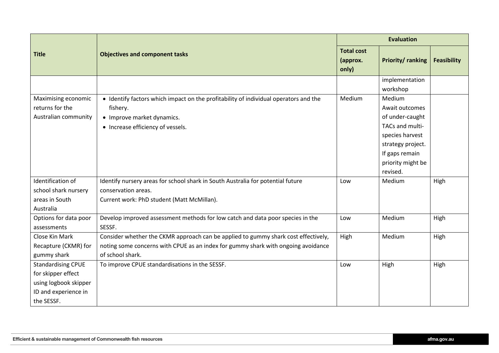|                           |                                                                                      | <b>Evaluation</b>                      |                         |                    |  |
|---------------------------|--------------------------------------------------------------------------------------|----------------------------------------|-------------------------|--------------------|--|
| <b>Title</b>              | <b>Objectives and component tasks</b>                                                | <b>Total cost</b><br>(approx.<br>only) | <b>Priority/ranking</b> | <b>Feasibility</b> |  |
|                           |                                                                                      |                                        | implementation          |                    |  |
|                           |                                                                                      |                                        | workshop                |                    |  |
| Maximising economic       | • Identify factors which impact on the profitability of individual operators and the | Medium                                 | Medium                  |                    |  |
| returns for the           | fishery.                                                                             |                                        | Await outcomes          |                    |  |
| Australian community      | • Improve market dynamics.                                                           |                                        | of under-caught         |                    |  |
|                           | • Increase efficiency of vessels.                                                    |                                        | TACs and multi-         |                    |  |
|                           |                                                                                      |                                        | species harvest         |                    |  |
|                           |                                                                                      |                                        | strategy project.       |                    |  |
|                           |                                                                                      |                                        | If gaps remain          |                    |  |
|                           |                                                                                      |                                        | priority might be       |                    |  |
|                           |                                                                                      |                                        | revised.                |                    |  |
| Identification of         | Identify nursery areas for school shark in South Australia for potential future      | Low                                    | Medium                  | High               |  |
| school shark nursery      | conservation areas.                                                                  |                                        |                         |                    |  |
| areas in South            | Current work: PhD student (Matt McMillan).                                           |                                        |                         |                    |  |
| Australia                 |                                                                                      |                                        |                         |                    |  |
| Options for data poor     | Develop improved assessment methods for low catch and data poor species in the       | Low                                    | Medium                  | High               |  |
| assessments               | SESSF.                                                                               |                                        |                         |                    |  |
| Close Kin Mark            | Consider whether the CKMR approach can be applied to gummy shark cost effectively,   | High                                   | Medium                  | High               |  |
| Recapture (CKMR) for      | noting some concerns with CPUE as an index for gummy shark with ongoing avoidance    |                                        |                         |                    |  |
| gummy shark               | of school shark.                                                                     |                                        |                         |                    |  |
| <b>Standardising CPUE</b> | To improve CPUE standardisations in the SESSF.                                       | Low                                    | High                    | High               |  |
| for skipper effect        |                                                                                      |                                        |                         |                    |  |
| using logbook skipper     |                                                                                      |                                        |                         |                    |  |
| ID and experience in      |                                                                                      |                                        |                         |                    |  |
| the SESSF.                |                                                                                      |                                        |                         |                    |  |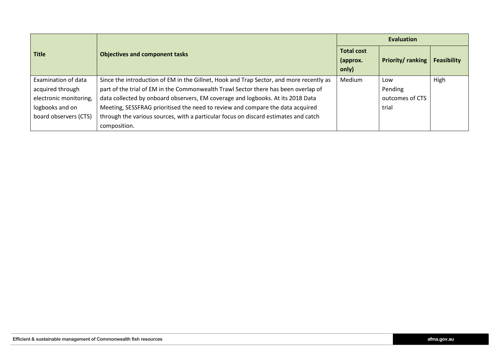|                        |                                                                                         | <b>Evaluation</b>                      |                          |                    |  |  |
|------------------------|-----------------------------------------------------------------------------------------|----------------------------------------|--------------------------|--------------------|--|--|
| <b>Title</b>           | <b>Objectives and component tasks</b>                                                   | <b>Total cost</b><br>(approx.<br>only) | <b>Priority/ ranking</b> | <b>Feasibility</b> |  |  |
| Examination of data    | Since the introduction of EM in the Gillnet, Hook and Trap Sector, and more recently as | Medium                                 | Low                      | High               |  |  |
| acquired through       | part of the trial of EM in the Commonwealth Trawl Sector there has been overlap of      |                                        | Pending                  |                    |  |  |
| electronic monitoring, | data collected by onboard observers, EM coverage and logbooks. At its 2018 Data         |                                        | outcomes of CTS          |                    |  |  |
| logbooks and on        | Meeting, SESSFRAG prioritised the need to review and compare the data acquired          |                                        | trial                    |                    |  |  |
| board observers (CTS)  | through the various sources, with a particular focus on discard estimates and catch     |                                        |                          |                    |  |  |
|                        | composition.                                                                            |                                        |                          |                    |  |  |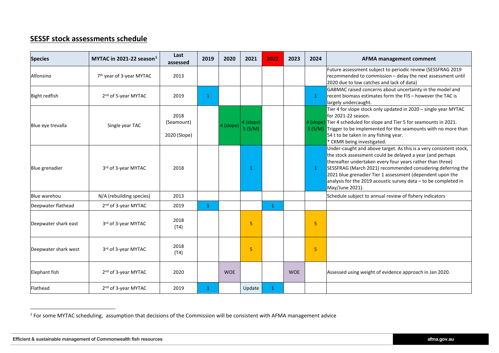### <span id="page-13-0"></span>**SESSF stock assessments schedule**

| <b>Species</b>       | MYTAC in 2021-22 season $1$          | Last<br>assessed                   | 2019         | 2020       | 2021                | 2022         | 2023       | 2024         | AFMA management comment                                                                                                                                                                                                                                                                                                                                                                                        |
|----------------------|--------------------------------------|------------------------------------|--------------|------------|---------------------|--------------|------------|--------------|----------------------------------------------------------------------------------------------------------------------------------------------------------------------------------------------------------------------------------------------------------------------------------------------------------------------------------------------------------------------------------------------------------------|
| Alfonsino            | 7 <sup>th</sup> year of 3-year MYTAC | 2013                               |              |            |                     |              |            |              | Future assessment subject to periodic review (SESSFRAG 2019<br>recommended to commission - delay the next assessment until<br>2020 due to low catches and lack of data)                                                                                                                                                                                                                                        |
| <b>Bight redfish</b> | 2 <sup>nd</sup> of 5-year MYTAC      | 2019                               | $\mathbf{1}$ |            |                     |              |            | $\mathbf{1}$ | GABMAC raised concerns about uncertainty in the model and<br>recent biomass estimates form the FIS - however the TAC is<br>largely undercaught.                                                                                                                                                                                                                                                                |
| Blue eye trevalla    | Single year TAC                      | 2018<br>(Seamount)<br>2020 (Slope) |              | 4 (slope)  | 4 (slope)<br>5(S/M) |              |            |              | Tier 4 for slope stock only updated in 2020 - single year MYTAC<br>for 2021-22 season.<br>4 (slope) Tier 4 scheduled for slope and Tier 5 for seamounts in 2021.<br>5 (S/M) Trigger to be implemented for the seamounts with no more than<br>54 t to be taken in any fishing year.<br>CKMR being investigated.                                                                                                 |
| Blue grenadier       | 3rd of 3-year MYTAC                  | 2018                               |              |            | 1                   |              |            | $\mathbf{1}$ | Under-caught and above target. As this is a very consistent stock,<br>the stock assessment could be delayed a year (and perhaps<br>thereafter undertaken every four years rather than three)<br>SESSFRAG (March 2021) recommended considering deferring the<br>2021 blue grenadier Tier 1 assessment (dependent upon the<br>analysis for the 2019 acoustic survey data - to be completed in<br>May/June 2021). |
| Blue warehou         | N/A (rebuilding species)             | 2013                               |              |            |                     |              |            |              | Schedule subject to annual review of fishery indicators                                                                                                                                                                                                                                                                                                                                                        |
| Deepwater flathead   | 2 <sup>nd</sup> of 3-year MYTAC      | 2019                               | $\mathbf{1}$ |            |                     | $\mathbf{1}$ |            |              |                                                                                                                                                                                                                                                                                                                                                                                                                |
| Deepwater shark east | 3rd of 3-year MYTAC                  | 2018<br>(T4)                       |              |            | 5                   |              |            | 5            |                                                                                                                                                                                                                                                                                                                                                                                                                |
| Deepwater shark west | 3rd of 3-year MYTAC                  | 2018<br>(T4)                       |              |            | 5                   |              |            | 5            |                                                                                                                                                                                                                                                                                                                                                                                                                |
| Elephant fish        | 2 <sup>nd</sup> of 3-year MYTAC      | 2020                               |              | <b>WOE</b> |                     |              | <b>WOE</b> |              | Assessed using weight of evidence approach in Jan 2020.                                                                                                                                                                                                                                                                                                                                                        |
| Flathead             | 2 <sup>nd</sup> of 3-year MYTAC      | 2019                               | $\mathbf{1}$ |            | Update              | $\mathbf{1}$ |            |              |                                                                                                                                                                                                                                                                                                                                                                                                                |

 $\overline{a}$ 

 $1$  For some MYTAC scheduling, assumption that decisions of the Commission will be consistent with AFMA management advice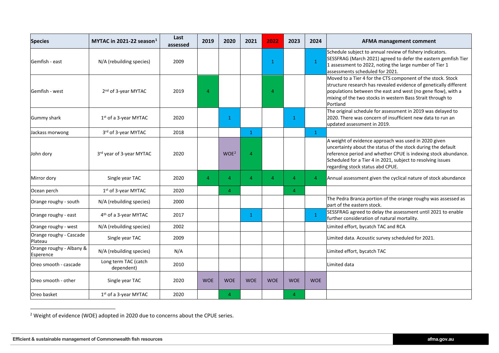<span id="page-14-0"></span>

| <b>Species</b>                        | MYTAC in 2021-22 season $1$        | Last<br>assessed | 2019           | 2020             | 2021           | 2022       | 2023           | 2024           | <b>AFMA management comment</b>                                                                                                                                                                                                                                                            |
|---------------------------------------|------------------------------------|------------------|----------------|------------------|----------------|------------|----------------|----------------|-------------------------------------------------------------------------------------------------------------------------------------------------------------------------------------------------------------------------------------------------------------------------------------------|
| Gemfish - east                        | N/A (rebuilding species)           | 2009             |                |                  |                | 1          |                | $\mathbf{1}$   | Schedule subject to annual review of fishery indicators.<br>SESSFRAG (March 2021) agreed to defer the eastern gemfish Tier<br>1 assessment to 2022, noting the large number of Tier 1<br>assessments scheduled for 2021.                                                                  |
| Gemfish - west                        | 2 <sup>nd</sup> of 3-year MYTAC    | 2019             | $\overline{4}$ |                  |                | Δ          |                |                | Moved to a Tier 4 for the CTS component of the stock. Stock<br>structure research has revealed evidence of genetically different<br>populations between the east and west (no gene flow), with a<br>mixing of the two stocks in western Bass Strait through to<br>Portland                |
| <b>Gummy shark</b>                    | 1 <sup>st</sup> of a 3-year MYTAC  | 2020             |                | 1                |                |            | $\mathbf{1}$   |                | The original schedule for assessment in 2019 was delayed to<br>2020. There was concern of insufficient new data to run an<br>updated assessment in 2019.                                                                                                                                  |
| Jackass morwong                       | 3rd of 3-year MYTAC                | 2018             |                |                  | $\mathbf{1}$   |            |                | $\mathbf{1}$   |                                                                                                                                                                                                                                                                                           |
| John dory                             | 3rd year of 3-year MYTAC           | 2020             |                | WOE <sup>2</sup> | $\overline{4}$ |            |                |                | A weight of evidence approach was used in 2020 given<br>uncertainty about the status of the stock during the default<br>reference period and whether CPUE is indexing stock abundance.<br>Scheduled for a Tier 4 in 2021, subject to resolving issues<br>regarding stock status abd CPUE. |
| Mirror dory                           | Single year TAC                    | 2020             | $\overline{4}$ | $\overline{a}$   | $\overline{4}$ | 4          | $\overline{4}$ | $\overline{4}$ | Annual assessment given the cyclical nature of stock abundance                                                                                                                                                                                                                            |
| Ocean perch                           | 1 <sup>st</sup> of 3-year MYTAC    | 2020             |                | 4                |                |            | $\overline{4}$ |                |                                                                                                                                                                                                                                                                                           |
| Orange roughy - south                 | N/A (rebuilding species)           | 2000             |                |                  |                |            |                |                | The Pedra Branca portion of the orange roughy was assessed as<br>part of the eastern stock.                                                                                                                                                                                               |
| Orange roughy - east                  | 4 <sup>th</sup> of a 3-year MYTAC  | 2017             |                |                  | $\mathbf{1}$   |            |                | $\mathbf{1}$   | SESSFRAG agreed to delay the assessment until 2021 to enable<br>further consideration of natural mortality.                                                                                                                                                                               |
| Orange roughy - west                  | N/A (rebuilding species)           | 2002             |                |                  |                |            |                |                | Limited effort, bycatch TAC and RCA                                                                                                                                                                                                                                                       |
| Orange roughy - Cascade<br>Plateau    | Single year TAC                    | 2009             |                |                  |                |            |                |                | Limited data. Acoustic survey scheduled for 2021.                                                                                                                                                                                                                                         |
| Orange roughy - Albany &<br>Esperence | N/A (rebuilding species)           | N/A              |                |                  |                |            |                |                | Limited effort, bycatch TAC                                                                                                                                                                                                                                                               |
| Oreo smooth - cascade                 | Long term TAC (catch<br>dependent) | 2010             |                |                  |                |            |                |                | Limited data                                                                                                                                                                                                                                                                              |
| Oreo smooth - other                   | Single year TAC                    | 2020             | <b>WOE</b>     | <b>WOE</b>       | <b>WOE</b>     | <b>WOE</b> | <b>WOE</b>     | <b>WOE</b>     |                                                                                                                                                                                                                                                                                           |
| Oreo basket                           | 1 <sup>st</sup> of a 3-year MYTAC  | 2020             |                | 4                |                |            | $\overline{4}$ |                |                                                                                                                                                                                                                                                                                           |

<sup>2</sup> Weight of evidence (WOE) adopted in 2020 due to concerns about the CPUE series.

 $\overline{a}$